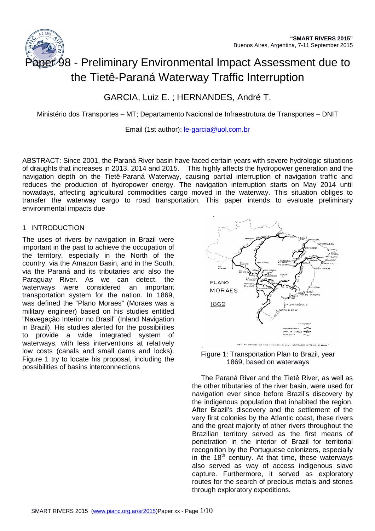

# aper 98 - Preliminary Environmental Impact Assessment due to the Tietê-Paraná Waterway Traffic Interruption

# GARCIA, Luiz E. ; HERNANDES, André T.

Ministério dos Transportes – MT; Departamento Nacional de Infraestrutura de Transportes – DNIT

Email (1st author): le-garcia@uol.com.br

ABSTRACT: Since 2001, the Paraná River basin have faced certain years with severe hydrologic situations of draughts that increases in 2013, 2014 and 2015. This highly affects the hydropower generation and the navigation depth on the Tietê-Paraná Waterway, causing partial interruption of navigation traffic and reduces the production of hydropower energy. The navigation interruption starts on May 2014 until nowadays, affecting agricultural commodities cargo moved in the waterway. This situation obliges to transfer the waterway cargo to road transportation. This paper intends to evaluate preliminary environmental impacts due

#### 1 INTRODUCTION

The uses of rivers by navigation in Brazil were important in the past to achieve the occupation of the territory, especially in the North of the country, via the Amazon Basin, and in the South, via the Paraná and its tributaries and also the Paraguay River. As we can detect, the waterways were considered an important transportation system for the nation. In 1869, was defined the "Plano Moraes" (Moraes was a military engineer) based on his studies entitled "Navegação Interior no Brasil" (Inland Navigation in Brazil). His studies alerted for the possibilities to provide a wide integrated system of waterways, with less interventions at relatively low costs (canals and small dams and locks). Figure 1 try to locate his proposal, including the possibilities of basins interconnections



Figure 1: Transportation Plan to Brazil, year 1869, based on waterways

The Paraná River and the Tietê River, as well as the other tributaries of the river basin, were used for navigation ever since before Brazil's discovery by the indigenous population that inhabited the region. After Brazil's discovery and the settlement of the very first colonies by the Atlantic coast, these rivers and the great majority of other rivers throughout the Brazilian territory served as the first means of penetration in the interior of Brazil for territorial recognition by the Portuguese colonizers, especially in the  $18<sup>th</sup>$  century. At that time, these waterways also served as way of access indigenous slave capture. Furthermore, it served as exploratory routes for the search of precious metals and stones through exploratory expeditions.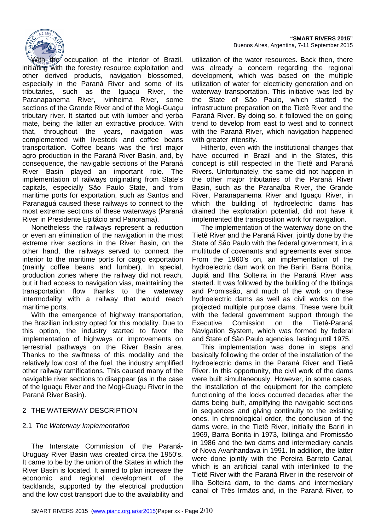

With the occupation of the interior of Brazil, initiating with the forestry resource exploitation and other derived products, navigation blossomed, especially in the Paraná River and some of its tributaries, such as the Iguaçu River, the Paranapanema River, Ivinheima River, some sections of the Grande River and of the Mogi-Guacu tributary river. It started out with lumber and yerba mate, being the latter an extractive produce. With that, throughout the years, navigation was complemented with livestock and coffee beans transportation. Coffee beans was the first major agro production in the Paraná River Basin, and, by consequence, the navigable sections of the Paraná River Basin played an important role. The implementation of railways originating from State's capitals, especially São Paulo State, and from maritime ports for exportation, such as Santos and Paranaguá caused these railways to connect to the most extreme sections of these waterways (Paraná River in Presidente Epitácio and Panorama).

Nonetheless the railways represent a reduction or even an elimination of the navigation in the most extreme river sections in the River Basin, on the other hand, the railways served to connect the interior to the maritime ports for cargo exportation (mainly coffee beans and lumber). In special, production zones where the railway did not reach, but it had access to navigation vias, maintaining the transportation flow thanks to the waterway intermodality with a railway that would reach maritime ports.

With the emergence of highway transportation, the Brazilian industry opted for this modality. Due to this option, the industry started to favor the implementation of highways or improvements on terrestrial pathways on the River Basin area. Thanks to the swiftness of this modality and the relatively low cost of the fuel, the industry amplified other railway ramifications. This caused many of the navigable river sections to disappear (as in the case of the Iguaçu River and the Mogi-Guaçu River in the Paraná River Basin).

# 2 THE WATERWAY DESCRIPTION

# 2.1 The Waterway Implementation

The Interstate Commission of the Paraná-Uruguay River Basin was created circa the 1950's. It came to be by the union of the States in which the River Basin is located. It aimed to plan increase the economic and regional development of the backlands, supported by the electrical production and the low cost transport due to the availability and utilization of the water resources. Back then, there was already a concern regarding the regional development, which was based on the multiple utilization of water for electricity generation and on waterway transportation. This initiative was led by the State of São Paulo, which started the infrastructure preparation on the Tietê River and the Paraná River. By doing so, it followed the on going trend to develop from east to west and to connect with the Paraná River, which navigation happened with greater intensity.

Hitherto, even with the institutional changes that have occurred in Brazil and in the States, this concept is still respected in the Tietê and Paraná Rivers. Unfortunately, the same did not happen in the other major tributaries of the Paraná River Basin, such as the Paranaíba River, the Grande River, Paranapanema River and Iguaçu River, in which the building of hydroelectric dams has drained the exploration potential, did not have it implemented the transposition work for navigation.

The implementation of the waterway done on the Tietê River and the Paraná River, jointly done by the State of São Paulo with the federal government, in a multitude of covenants and agreements ever since. From the 1960's on, an implementation of the hydroelectric dam work on the Bariri, Barra Bonita, Jupiá and Ilha Solteira in the Paraná River was started. It was followed by the building of the Ibitinga and Promissão, and much of the work on these hydroelectric dams as well as civil works on the projected multiple purpose dams. These were built with the federal government support through the Executive Comission on the Tietê-Paraná Navigation System, which was formed by federal and State of São Paulo agencies, lasting until 1975.

This implementation was done in steps and basically following the order of the installation of the hydroelectric dams in the Paraná River and Tietê River. In this opportunity, the civil work of the dams were built simultaneously. However, in some cases, the installation of the equipment for the complete functioning of the locks occurred decades after the dams being built, amplifying the navigable sections in sequences and giving continuity to the existing ones. In chronological order, the conclusion of the dams were, in the Tietê River, initially the Bariri in 1969, Barra Bonita in 1973, Ibitinga and Promissão in 1986 and the two dams and intermediary canals of Nova Avanhandava in 1991. In addition, the latter were done jointly with the Pereira Barreto Canal, which is an artificial canal with interlinked to the Tietê River with the Paraná River in the reservoir of Ilha Solteira dam, to the dams and intermediary canal of Três Irmãos and, in the Paraná River, to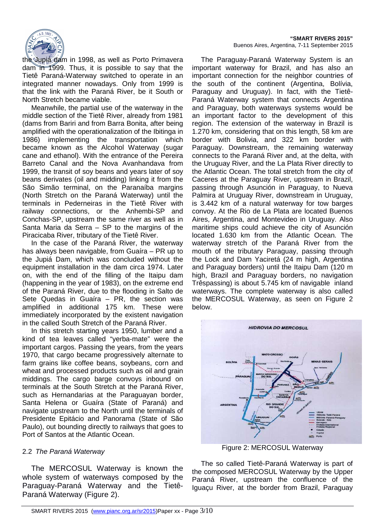

the Jupiá dam in 1998, as well as Porto Primavera dam in 1999. Thus, it is possible to say that the Tietê Paraná-Waterway switched to operate in an integrated manner nowadays. Only from 1999 is that the link with the Paraná River, be it South or North Stretch became viable.

Meanwhile, the partial use of the waterway in the middle section of the Tietê River, already from 1981 (dams from Bariri and from Barra Bonita, after being amplified with the operationalization of the Ibitinga in 1986) implementing the transportation which became known as the Alcohol Waterway (sugar cane and ethanol). With the entrance of the Pereira Barreto Canal and the Nova Avanhandava from 1999, the transit of soy beans and years later of soy beans derivates (oil and midding) linking it from the São Simão terminal, on the Paranaíba margins (North Stretch on the Paraná Waterway) until the terminals in Pederneiras in the Tietê River with railway connections, or the Anhembi-SP and Conchas-SP, upstream the same river as well as in Santa Maria da Serra – SP to the margins of the Piracicaba River, tributary of the Tietê River.

In the case of the Paraná River, the waterway has always been navigable, from Guaíra – PR up to the Jupiá Dam, which was concluded without the equipment installation in the dam circa 1974. Later on, with the end of the filling of the Itaipu dam (happening in the year of 1983), on the extreme end of the Paraná River, due to the flooding in Salto de Sete Quedas in Guaíra – PR, the section was amplified in additional 175 km. These were immediately incorporated by the existent navigation in the called South Stretch of the Paraná River.

In this stretch starting years 1950, lumber and a kind of tea leaves called "yerba-mate" were the important cargos. Passing the years, from the years 1970, that cargo became progressively alternate to farm grains like coffee beans, soybeans, corn and wheat and processed products such as oil and grain middings. The cargo barge convoys inbound on terminals at the South Stretch at the Paraná River, such as Hernandarias at the Paraguayan border, Santa Helena or Guaíra (State of Paraná) and navigate upstream to the North until the terminals of Presidente Epitácio and Panorama (State of São Paulo), out bounding directly to railways that goes to Port of Santos at the Atlantic Ocean.

# 2.2 The Paraná Waterway

The MERCOSUL Waterway is known the whole system of waterways composed by the Paraguay-Paraná Waterway and the Tietê-Paraná Waterway (Figure 2).

The Paraguay-Paraná Waterway System is an important waterway for Brazil, and has also an important connection for the neighbor countries of the south of the continent (Argentina, Bolívia, Paraguay and Uruguay). In fact, with the Tietê-Paraná Waterway system that connects Argentina and Paraguay, both waterways systems would be an important factor to the development of this region. The extension of the waterway in Brazil is 1.270 km, considering that on this length, 58 km are border with Bolivia, and 322 km border with Paraguay. Downstream, the remaining waterway connects to the Paraná River and, at the delta, with the Uruguay River, and the La Plata River directly to the Atlantic Ocean. The total stretch from the city of Caceres at the Paraguay River, upstream in Brazil, passing through Asunción in Paraguay, to Nueva Palmira at Uruguay River, downstream in Uruguay, is 3.442 km of a natural waterway for tow barges convoy. At the Rio de La Plata are located Buenos Aires, Argentina, and Montevideo in Uruguay. Also maritime ships could achieve the city of Asunción located 1.630 km from the Atlantic Ocean. The waterway stretch of the Paraná River from the mouth of the tributary Paraguay, passing through the Lock and Dam Yaciretá (24 m high, Argentina and Paraguay borders) until the Itaipu Dam (120 m high, Brazil and Paraguay borders, no navigation Trêspassing) is about 5.745 km of navigable inland waterways. The complete waterway is also called the MERCOSUL Waterway, as seen on Figure 2 below.



Figure 2: MERCOSUL Waterway

The so called Tietê-Paraná Waterway is part of the composed MERCOSUL Waterway by the Upper Paraná River, upstream the confluence of the Iguaçu River, at the border from Brazil, Paraguay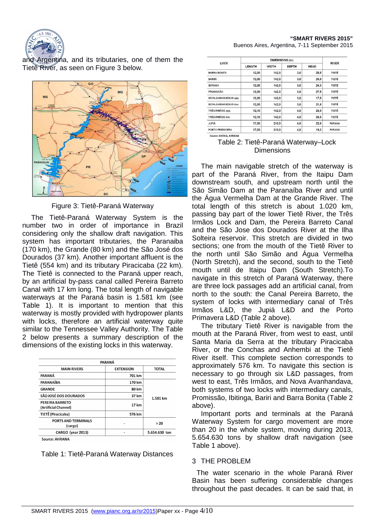

and Argentina, and its tributaries, one of them the Tiete River, as seen on Figure 3 below.



Figure 3: Tietê-Paraná Waterway

The Tietê-Paraná Waterway System is the number two in order of importance in Brazil considering only the shallow draft navigation. This system has important tributaries, the Paranaiba (170 km), the Grande (80 km) and the São José dos Dourados (37 km). Another important affluent is the Tietê (554 km) and its tributary Piracicaba (22 km). The Tietê is connected to the Paraná upper reach, by an artificial by-pass canal called Pereira Barreto Canal with 17 km long. The total length of navigable waterways at the Paraná basin is 1.581 km (see Table 1). It is important to mention that this waterway is mostly provided with hydropower plants with locks, therefore an artificial waterway quite similar to the Tennessee Valley Authority. The Table 2 below presents a summary description of the dimensions of the existing locks in this waterway.

| <b>EXTENSION</b><br>701 km<br>170 km | <b>TOTAL</b>  |  |
|--------------------------------------|---------------|--|
|                                      |               |  |
|                                      |               |  |
|                                      |               |  |
| 80 km                                | 1.581 km      |  |
| 37 km                                |               |  |
| 17 km                                |               |  |
| 576 km                               |               |  |
|                                      | > 20          |  |
|                                      | 5.654.630 ton |  |
|                                      |               |  |

Table 1: Tietê-Paraná Waterway Distances

| LOCK                  | DIMENSIONS (m) |              |              |             |              |
|-----------------------|----------------|--------------|--------------|-------------|--------------|
|                       | <b>LENGTH</b>  | <b>WIDTH</b> | <b>DEPTH</b> | <b>HEAD</b> | <b>RIVER</b> |
| <b>BARRA BONITA</b>   | 12,00          | 142,0        | 3,0          | 25,5        | TIETÊ        |
| <b>BARIRI</b>         | 12,00          | 142.0        | 3,0          | 24.0        | TIETÊ        |
| <b>IBITINGA</b>       | 12,00          | 142.0        | 3,0          | 24.3        | TIETÊ        |
| PROMISSÃO             | 12,00          | 142,0        | 3,0          | 27,5        | TIETĖ        |
| NOVA AVANHANDAVA upp. | 12.00          | 142.0        | 3.0          | 17.5        | TIETÉ        |
| NOVA AVANHANDAVA low. | 12,00          | 142.0        | 3,0          | 21.5        | TIETÊ        |
| TRÊS IRMÃOS upp.      | 12,10          | 142.0        | 4,0          | 24,0        | TIETÉ        |
| TRÊS IRMÃOS Iow.      | 12,10          | 142.0        | 4,0          | 24.5        | TIETÊ        |
| <b>JUPIÁ</b>          | 17,00          | 210.0        | 4,0          | 22.0        | PARANA       |
| PORTO PRIMAVERA       | 17,00          | 210.0        | 4,0          | 19.2        | PARANA       |

Table 2: Tietê-Paraná Waterway–Lock **Dimensions** 

The main navigable stretch of the waterway is part of the Paraná River, from the Itaipu Dam downstream south, and upstream north until the São Simão Dam at the Paranaíba River and until the Água Vermelha Dam at the Grande River. The total length of this stretch is about 1.020 km, passing bay part of the lower Tietê River, the Três Irmãos Lock and Dam, the Pereira Barreto Canal and the São Jose dos Dourados River at the Ilha Solteira reservoir. This stretch are divided in two sections; one from the mouth of the Tietê River to the north until São Simão and Água Vermelha (North Stretch), and the second, south to the Tietê mouth until de Itaipu Dam (South Stretch).To navigate in this stretch of Paraná Waterway, there are three lock passages add an artificial canal, from north to the south: the Canal Pereira Barreto, the system of locks with intermediary canal of Três Irmãos L&D, the Jupiá L&D and the Porto Primavera L&D (Table 2 above).

The tributary Tietê River is navigable from the mouth at the Paraná River, from west to east, until Santa Maria da Serra at the tributary Piracicaba River, or the Conchas and Anhembi at the Tietê River itself. This complete section corresponds to approximately 576 km. To navigate this section is necessary to go through six L&D passages, from west to east, Três Irmãos, and Nova Avanhandava, both systems of two locks with intermediary canals, Promissão, Ibitinga, Bariri and Barra Bonita (Table 2 above).

Important ports and terminals at the Paraná Waterway System for cargo movement are more than 20 in the whole system, moving during 2013, 5.654.630 tons by shallow draft navigation (see Table 1 above).

# 3 THE PROBLEM

The water scenario in the whole Paraná River Basin has been suffering considerable changes throughout the past decades. It can be said that, in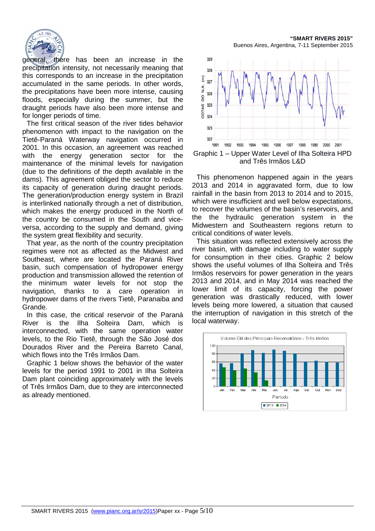

general set there has been an increase in the precipitation intensity, not necessarily meaning that this corresponds to an increase in the precipitation accumulated in the same periods. In other words, the precipitations have been more intense, causing floods, especially during the summer, but the draught periods have also been more intense and for longer periods of time.

The first critical season of the river tides behavior phenomenon with impact to the navigation on the Tietê-Paraná Waterway navigation occurred in 2001. In this occasion, an agreement was reached with the energy generation sector for the maintenance of the minimal levels for navigation (due to the definitions of the depth available in the dams). This agreement obliged the sector to reduce its capacity of generation during draught periods. The generation/production energy system in Brazil is interlinked nationally through a net of distribution, which makes the energy produced in the North of the country be consumed in the South and viceversa, according to the supply and demand, giving the system great flexibility and security.

That year, as the north of the country precipitation regimes were not as affected as the Midwest and Southeast, where are located the Paraná River basin, such compensation of hydropower energy production and transmission allowed the retention of the minimum water levels for not stop the navigation, thanks to a care operation in hydropower dams of the rivers Tietê, Paranaiba and Grande.

In this case, the critical reservoir of the Paraná River is the Ilha Solteira Dam, which is interconnected, with the same operation water levels, to the Rio Tietê, through the São José dos Dourados River and the Pereira Barreto Canal, which flows into the Três Irmãos Dam.

Graphic 1 below shows the behavior of the water levels for the period 1991 to 2001 in Ilha Solteira Dam plant coinciding approximately with the levels of Três Irmãos Dam, due to they are interconnected as already mentioned.

**"SMART RIVERS 2015"**  Buenos Aires, Argentina, 7-11 September 2015



This phenomenon happened again in the years 2013 and 2014 in aggravated form, due to low rainfall in the basin from 2013 to 2014 and to 2015, which were insufficient and well below expectations, to recover the volumes of the basin's reservoirs, and the the hydraulic generation system in the Midwestern and Southeastern regions return to critical conditions of water levels.

This situation was reflected extensively across the river basin, with damage including to water supply for consumption in their cities. Graphic 2 below shows the useful volumes of Ilha Solteira and Três Irmãos reservoirs for power generation in the years 2013 and 2014, and in May 2014 was reached the lower limit of its capacity, forcing the power generation was drastically reduced, with lower levels being more lowered, a situation that caused the interruption of navigation in this stretch of the local waterway.

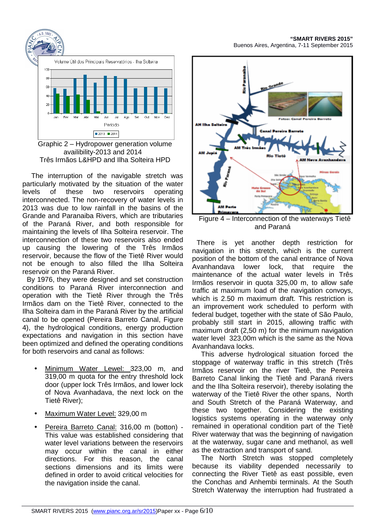

Graphic 2 – Hydropower generation volume availibility-2013 and 2014 Três Irmãos L&HPD and Ilha Solteira HPD

The interruption of the navigable stretch was particularly motivated by the situation of the water levels of these two reservoirs operating interconnected. The non-recovery of water levels in 2013 was due to low rainfall in the basins of the Grande and Paranaiba Rivers, which are tributaries of the Paraná River, and both responsible for maintaining the levels of Ilha Solteira reservoir. The interconnection of these two reservoirs also ended up causing the lowering of the Três Irmãos reservoir, because the flow of the Tietê River would not be enough to also filled the Ilha Solteira reservoir on the Paraná River.

By 1976, they were designed and set construction conditions to Paraná River interconnection and operation with the Tietê River through the Três Irmãos dam on the Tietê River, connected to the Ilha Solteira dam in the Paraná River by the artificial canal to be opened (Pereira Barreto Canal, Figure 4), the hydrological conditions, energy production expectations and navigation in this section have been optimized and defined the operating conditions for both reservoirs and canal as follows:

- Minimum Water Lewel: 323,00 m, and 319,00 m quota for the entry threshold lock door (upper lock Três Irmãos, and lower lock of Nova Avanhadava, the next lock on the Tietê River);
- Maximum Water Level: 329,00 m
- Pereira Barreto Canal: 316,00 m (botton) This value was established considering that water level variations between the reservoirs may occur within the canal in either directions. For this reason, the canal sections dimensions and its limits were defined in order to avoid critical velocities for the navigation inside the canal.

**"SMART RIVERS 2015"**  Buenos Aires, Argentina, 7-11 September 2015



Figure 4 – Interconnection of the waterways Tietê and Paraná

There is yet another depth restriction for navigation in this stretch, which is the current position of the bottom of the canal entrance of Nova Avanhandava lower lock, that require the maintenance of the actual water levels in Três Irmãos reservoir in quota 325,00 m, to allow safe traffic at maximum load of the navigation convoys, which is 2.50 m maximum draft. This restriction is an improvement work scheduled to perform with federal budget, together with the state of São Paulo, probably still start in 2015, allowing traffic with maximum draft (2,50 m) for the minimum navigation water level 323,00m which is the same as the Nova Avanhandava locks.

This adverse hydrological situation forced the stoppage of waterway traffic in this stretch (Três Irmãos reservoir on the river Tietê, the Pereira Barreto Canal linking the Tietê and Paraná rivers and the Ilha Solteira reservoir), thereby isolating the waterway of the Tietê River the other spans, North and South Stretch of the Paraná Waterway, and these two together. Considering the existing logistics systems operating in the waterway only remained in operational condition part of the Tietê River waterway that was the beginning of navigation at the waterway, sugar cane and methanol, as well as the extraction and transport of sand.

The North Stretch was stopped completely because its viability depended necessarily to connecting the River Tietê as east possible, even the Conchas and Anhembi terminals. At the South Stretch Waterway the interruption had frustrated a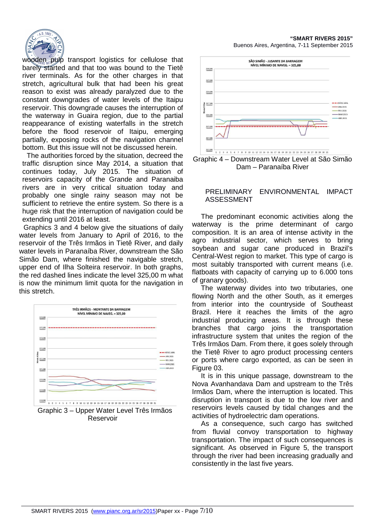

wooden pulp transport logistics for cellulose that barely started and that too was bound to the Tietê river terminals. As for the other charges in that stretch, agricultural bulk that had been his great reason to exist was already paralyzed due to the constant downgrades of water levels of the Itaipu reservoir. This downgrade causes the interruption of the waterway in Guaira region, due to the partial reappearance of existing waterfalls in the stretch before the flood reservoir of Itaipu, emerging partially, exposing rocks of the navigation channel bottom. But this issue will not be discussed herein.

The authorities forced by the situation, decreed the traffic disruption since May 2014, a situation that continues today, July 2015. The situation of reservoirs capacity of the Grande and Paranaiba rivers are in very critical situation today and probably one single rainy season may not be sufficient to retrieve the entire system. So there is a huge risk that the interruption of navigation could be extending until 2016 at least.

Graphics 3 and 4 below give the situations of daily water levels from January to April of 2016, to the reservoir of the Três Irmãos in Tietê River, and daily water levels in Paranaíba River, downstream the São Simão Dam, where finished the navigable stretch, upper end of Ilha Solteira reservoir. In both graphs, the red dashed lines indicate the level 325,00 m what is now the minimum limit quota for the navigation in this stretch.



Graphic 3 – Upper Water Level Três Irmãos Reservoir

**"SMART RIVERS 2015"**  Buenos Aires, Argentina, 7-11 September 2015



Graphic 4 – Downstream Water Level at São Simão Dam – Paranaíba River

#### PRELIMINARY ENVIRONMENTAL IMPACT ASSESSMENT

The predominant economic activities along the waterway is the prime determinant of cargo composition. It is an area of intense activity in the agro industrial sector, which serves to bring soybean and sugar cane produced in Brazil's Central-West region to market. This type of cargo is most suitably transported with current means (i.e. flatboats with capacity of carrying up to 6.000 tons of granary goods).

The waterway divides into two tributaries, one flowing North and the other South, as it emerges from interior into the countryside of Southeast Brazil. Here it reaches the limits of the agro industrial producing areas. It is through these branches that cargo joins the transportation infrastructure system that unites the region of the Três Irmãos Dam. From there, it goes solely through the Tietê River to agro product processing centers or ports where cargo exported, as can be seen in Figure 03.

It is in this unique passage, downstream to the Nova Avanhandava Dam and upstream to the Três Irmãos Dam, where the interruption is located. This disruption in transport is due to the low river and reservoirs levels caused by tidal changes and the activities of hydroelectric dam operations.

As a consequence, such cargo has switched from fluvial convoy transportation to highway transportation. The impact of such consequences is significant. As observed in Figure 5, the transport through the river had been increasing gradually and consistently in the last five years.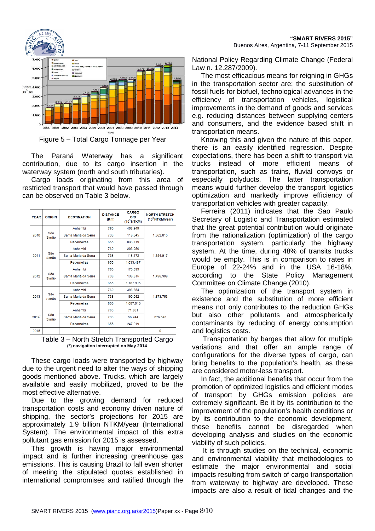

The Paraná Waterway has a significant contribution, due to its cargo insertion in the waterway system (north and south tributaries).

Cargo loads originating from this area of restricted transport that would have passed through can be observed on Table 3 below.

| <b>YEAR</b>          | <b>ORIGIN</b>        | <b>DESTINATION</b>   | <b>DISTANCE</b><br>(Km) | CARGO<br>O/D<br>$(10^3$ NTKM) | <b>NORTH STRETCH</b><br>$(10^3$ NTKM/year) |
|----------------------|----------------------|----------------------|-------------------------|-------------------------------|--------------------------------------------|
| São<br>2010<br>Simão |                      | Anhembi              | 760                     | 403.949                       |                                            |
|                      |                      | Santa Maria da Serra | 738                     | 119.345                       | 1.362.015                                  |
|                      | Pederneiras          | 655                  | 838.719                 |                               |                                            |
|                      | São<br>2011<br>Simão | Anhembi              | 760                     | 203.256                       |                                            |
|                      |                      | Santa Maria da Serra | 738                     | 118.172                       | 1.354.917                                  |
|                      |                      | Pederneiras          | 655                     | 1.033.487                     |                                            |
| São<br>2012<br>Simão | Anhembi              | 760                  | 170.599                 |                               |                                            |
|                      | Santa Maria da Serra | 738                  | 138.315                 | 1.496.909                     |                                            |
|                      |                      | Pederneiras          | 655                     | 1.187.995                     |                                            |
|                      |                      | Anhembi              | 760                     | 396.654                       |                                            |
| São<br>2013<br>Simão | Santa Maria da Serra | 738                  | 190.052                 | 1.673.753                     |                                            |
|                      | Pederneiras          | 655                  | 1.087.045               |                               |                                            |
| São<br>2014<br>Simão | Anhembi              | 760                  | 71.881                  |                               |                                            |
|                      | Santa Maria da Serra | 738                  | 56.744                  | 376.545                       |                                            |
|                      |                      | Pederneiras          | 655                     | 247.919                       |                                            |
| 2015                 |                      |                      |                         |                               | $\Omega$                                   |

Table 3 – North Stretch Transported Cargo **(\*) navigation interrupted on May 2014** 

These cargo loads were transported by highway due to the urgent need to alter the ways of shipping goods mentioned above. Trucks, which are largely available and easily mobilized, proved to be the most effective alternative.

Due to the growing demand for reduced transportation costs and economy driven nature of shipping, the sector's projections for 2015 are approximately 1.9 billion NTKM/year (International System). The environmental impact of this extra pollutant gas emission for 2015 is assessed.

This growth is having major environmental impact and is further increasing greenhouse gas emissions. This is causing Brazil to fall even shorter of meeting the stipulated quotas established in international compromises and ratified through the

National Policy Regarding Climate Change (Federal Law n. 12.287/2009).

The most efficacious means for reigning in GHGs in the transportation sector are: the substitution of fossil fuels for biofuel, technological advances in the efficiency of transportation vehicles, logistical improvements in the demand of goods and services e.g. reducing distances between supplying centers and consumers, and the evidence based shift in transportation means.

Knowing this and given the nature of this paper, there is an easily identified regression. Despite expectations, there has been a shift to transport via trucks instead of more efficient means of transportation, such as trains, fluvial convoys or especially polyducts. The latter transportation means would further develop the transport logistics optimization and markedly improve efficiency of transportation vehicles with greater capacity.

Ferreira (2011) indicates that the Sao Paulo Secretary of Logistic and Transportation estimated that the great potential contribution would originate from the rationalization (optimization) of the cargo transportation system, particularly the highway system. At the time, during 48% of transits trucks would be empty. This is in comparison to rates in Europe of 22-24% and in the USA 16-18%, according to the State Policy Management Committee on Climate Change (2010).

The optimization of the transport system in existence and the substitution of more efficient means not only contributes to the reduction GHGs but also other pollutants and atmospherically contaminants by reducing of energy consumption and logistics costs.

 Transportation by barges that allow for multiple variations and that offer an ample range of configurations for the diverse types of cargo, can bring benefits to the population's health, as these are considered motor-less transport.

In fact, the additional benefits that occur from the promotion of optimized logistics and efficient modes of transport by GHGs emission policies are extremely significant. Be it by its contribution to the improvement of the population's health conditions or by its contribution to the economic development, these benefits cannot be disregarded when developing analysis and studies on the economic viability of such policies.

 It is through studies on the technical, economic and environmental viability that methodologies to estimate the major environmental and social impacts resulting from switch of cargo transportation from waterway to highway are developed. These impacts are also a result of tidal changes and the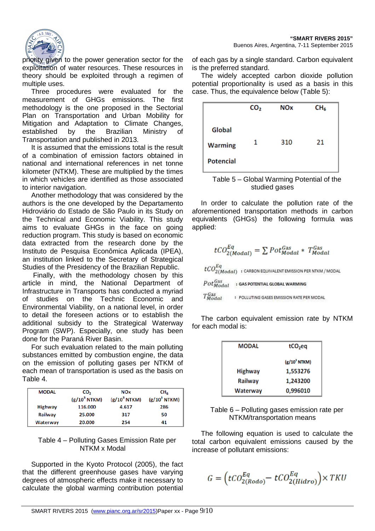

priority given to the power generation sector for the exploitation of water resources. These resources in theory should be exploited through a regimen of multiple uses.

Three procedures were evaluated for the measurement of GHGs emissions. The first methodology is the one proposed in the Sectorial Plan on Transportation and Urban Mobility for Mitigation and Adaptation to Climate Changes, established by the Brazilian Ministry of Transportation and published in 2013.

It is assumed that the emissions total is the result of a combination of emission factors obtained in national and international references in net tonne kilometer (NTKM). These are multiplied by the times in which vehicles are identified as those associated to interior navigation.

Another methodology that was considered by the authors is the one developed by the Departamento Hidroviário do Estado de São Paulo in its Study on the Technical and Economic Viability. This study aims to evaluate GHGs in the face on going reduction program. This study is based on economic data extracted from the research done by the Instituto de Pesquisa Econômica Aplicada (IPEA), an institution linked to the Secretary of Strategical Studies of the Presidency of the Brazilian Republic.

 Finally, with the methodology chosen by this article in mind, the National Department of Infrastructure in Transports has conducted a myriad of studies on the Technic Economic and Environmental Viability, on a national level, in order to detail the foreseen actions or to establish the additional subsidy to the Strategical Waterway Program (SWP). Especially, one study has been done for the Paraná River Basin.

For such evaluation related to the main polluting substances emitted by combustion engine, the data on the emission of polluting gases per NTKM of each mean of transportation is used as the basis on Table 4.

| <b>MODAL</b> | CO <sub>2</sub><br>$(g/10^3 NTKM)$ | <b>NOx</b><br>$(g/10^3 NTKM)$ | CH <sub>c</sub><br>$(g/10^3 NTKM)$ |
|--------------|------------------------------------|-------------------------------|------------------------------------|
| Highway      | 116.000                            | 4.617                         | 286                                |
| Railway      | 25.000                             | 317                           | 50                                 |
| Waterway     | 20.000                             | 254                           | 41                                 |

# Table 4 – Polluting Gases Emission Rate per NTKM x Modal

Supported in the Kyoto Protocol (2005), the fact that the different greenhouse gases have varying degrees of atmospheric effects make it necessary to calculate the global warming contribution potential of each gas by a single standard. Carbon equivalent is the preferred standard.

The widely accepted carbon dioxide pollution potential proportionality is used as a basis in this case. Thus, the equivalence below (Table 5):





In order to calculate the pollution rate of the aforementioned transportation methods in carbon equivalents (GHGs) the following formula was applied:

$$
tCO_{2(Modal)}^{Eq} = \sum Pot_{Modal}^{Gas} * T_{Modal}^{Gas}
$$
  
\n
$$
tCO_{2(Modal)}^{Eq}:
$$
 CARBON EQUIVALENT EMISSION PER NTKM/MODAL  
\n
$$
Pot_{Modal}^{Gas}:
$$
 GAS POTENTIAL GLOBAL WARMING  
\n
$$
T_{Modal}^{Gas}:
$$
 POLLUTING GASSES EMISSION RATE PER MODAL

The carbon equivalent emission rate by NTKM for each modal is:

| <b>MODAL</b>   | tCO <sub>2</sub> eq |  |
|----------------|---------------------|--|
|                | $(g/10^3$ NTKM)     |  |
| <b>Highway</b> | 1,553276            |  |
| Railway        | 1,243200            |  |
| Waterway       | 0,996010            |  |

Table 6 – Polluting gases emission rate per NTKM/transportation means

The following equation is used to calculate the total carbon equivalent emissions caused by the increase of pollutant emissions:

$$
G=\Big(tCO^{Eq}_{2(Rodo)}\hspace{-0.5mm}-\hspace{-0.5mm}tCO^{Eq}_{2(Hidro)}\Big)\times TKU
$$